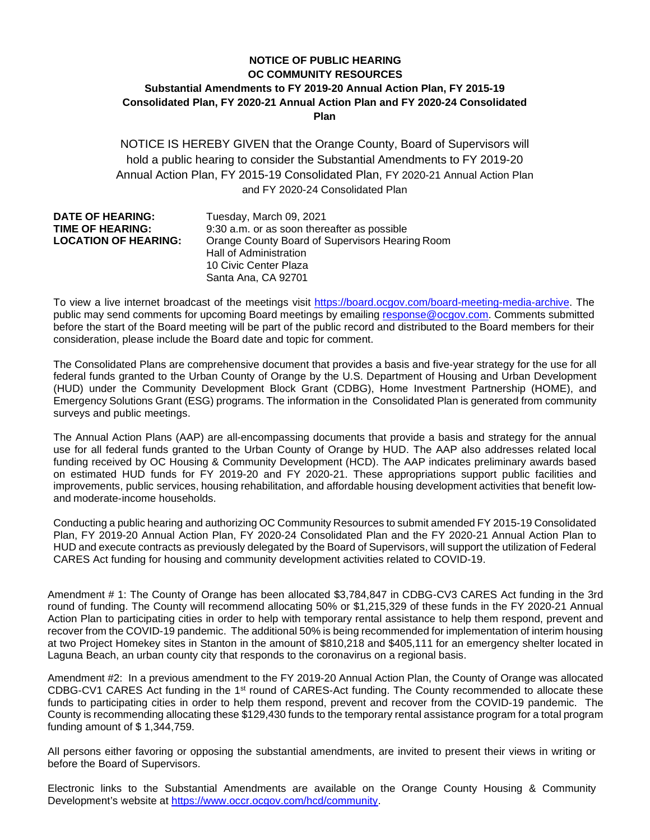## **NOTICE OF PUBLIC HEARING OC COMMUNITY RESOURCES Substantial Amendments to FY 2019-20 Annual Action Plan, FY 2015-19 Consolidated Plan, FY 2020-21 Annual Action Plan and FY 2020-24 Consolidated Plan**

NOTICE IS HEREBY GIVEN that the Orange County, Board of Supervisors will hold a public hearing to consider the Substantial Amendments to FY 2019-20 Annual Action Plan, FY 2015-19 Consolidated Plan, FY 2020-21 Annual Action Plan and FY 2020-24 Consolidated Plan

| <b>DATE OF HEARING:</b>     | Tuesday, March 09, 2021                         |
|-----------------------------|-------------------------------------------------|
| <b>TIME OF HEARING:</b>     | 9:30 a.m. or as soon thereafter as possible     |
| <b>LOCATION OF HEARING:</b> | Orange County Board of Supervisors Hearing Room |
|                             | <b>Hall of Administration</b>                   |
|                             | 10 Civic Center Plaza                           |
|                             | Santa Ana, CA 92701                             |

To view a live internet broadcast of the meetings visit [https://board.ocgov.com/board-meeting-media-archive.](https://board.ocgov.com/board-meeting-media-archive) The public may send comments for upcoming Board meetings by emailing [response@ocgov.com.](mailto:response@ocgov.com) Comments submitted before the start of the Board meeting will be part of the public record and distributed to the Board members for their consideration, please include the Board date and topic for comment.

The Consolidated Plans are comprehensive document that provides a basis and five-year strategy for the use for all federal funds granted to the Urban County of Orange by the U.S. Department of Housing and Urban Development (HUD) under the Community Development Block Grant (CDBG), Home Investment Partnership (HOME), and Emergency Solutions Grant (ESG) programs. The information in the Consolidated Plan is generated from community surveys and public meetings.

The Annual Action Plans (AAP) are all-encompassing documents that provide a basis and strategy for the annual use for all federal funds granted to the Urban County of Orange by HUD. The AAP also addresses related local funding received by OC Housing & Community Development (HCD). The AAP indicates preliminary awards based on estimated HUD funds for FY 2019-20 and FY 2020-21. These appropriations support public facilities and improvements, public services, housing rehabilitation, and affordable housing development activities that benefit lowand moderate-income households.

Conducting a public hearing and authorizing OC Community Resources to submit amended FY 2015-19 Consolidated Plan, FY 2019-20 Annual Action Plan, FY 2020-24 Consolidated Plan and the FY 2020-21 Annual Action Plan to HUD and execute contracts as previously delegated by the Board of Supervisors, will support the utilization of Federal CARES Act funding for housing and community development activities related to COVID-19.

Amendment # 1: The County of Orange has been allocated \$3,784,847 in CDBG-CV3 CARES Act funding in the 3rd round of funding. The County will recommend allocating 50% or \$1,215,329 of these funds in the FY 2020-21 Annual Action Plan to participating cities in order to help with temporary rental assistance to help them respond, prevent and recover from the COVID-19 pandemic. The additional 50% is being recommended for implementation of interim housing at two Project Homekey sites in Stanton in the amount of \$810,218 and \$405,111 for an emergency shelter located in Laguna Beach, an urban county city that responds to the coronavirus on a regional basis.

Amendment #2: In a previous amendment to the FY 2019-20 Annual Action Plan, the County of Orange was allocated CDBG-CV1 CARES Act funding in the 1<sup>st</sup> round of CARES-Act funding. The County recommended to allocate these funds to participating cities in order to help them respond, prevent and recover from the COVID-19 pandemic. The County is recommending allocating these \$129,430 funds to the temporary rental assistance program for a total program funding amount of \$ 1,344,759.

All persons either favoring or opposing the substantial amendments, are invited to present their views in writing or before the Board of Supervisors.

Electronic links to the Substantial Amendments are available on the Orange County Housing & Community Development's website at [https://www.occr.ocgov.com/hcd/community.](https://gcc01.safelinks.protection.outlook.com/?url=https%3A%2F%2Fwww.occr.ocgov.com%2Fhcd%2Fcommunity&data=04%7C01%7CJaclyn.Canzone%40occr.ocgov.com%7C5e74d9cdc03d4b47cb3008d8b345bfa5%7Ce4449a56cd3d40baae3225a63deaab3b%7C0%7C0%7C637456459429201840%7CUnknown%7CTWFpbGZsb3d8eyJWIjoiMC4wLjAwMDAiLCJQIjoiV2luMzIiLCJBTiI6Ik1haWwiLCJXVCI6Mn0%3D%7C1000&sdata=r3SN7MXDQkDmqzMJSIK8bzPoj0Xh3CXMoSYWw1ytVJM%3D&reserved=0)